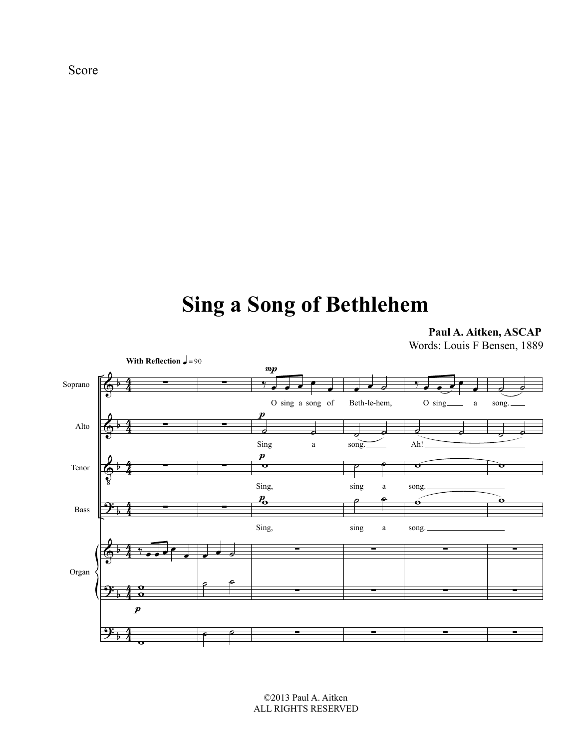Score

## **Sing a Song of Bethlehem**

**Paul A. Aitken, ASCAP** Words: Louis F Bensen, 1889



©2013 Paul A. Aitken ALL RIGHTS RESERVED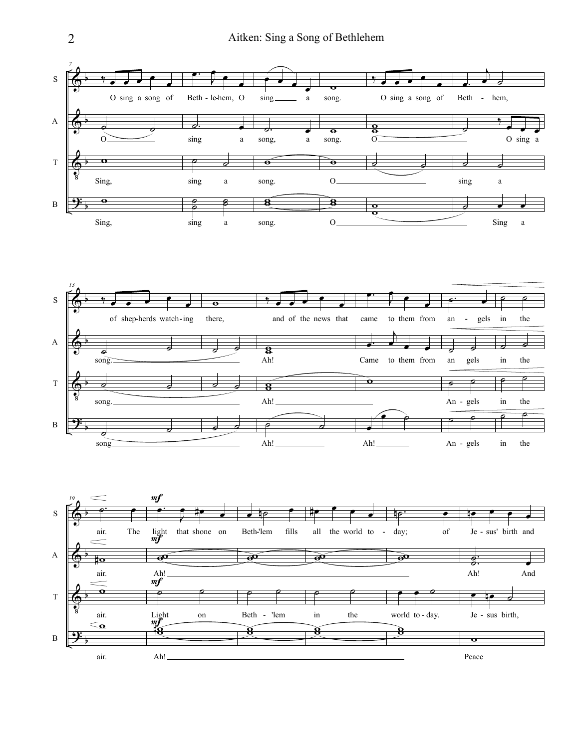



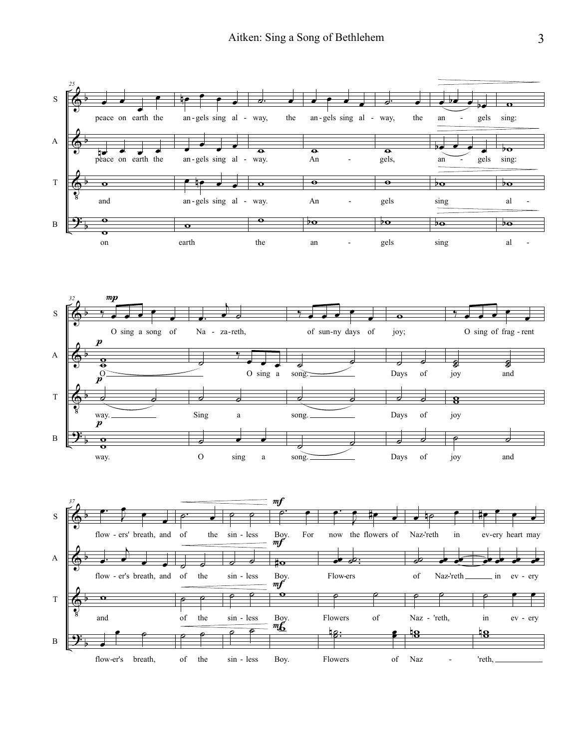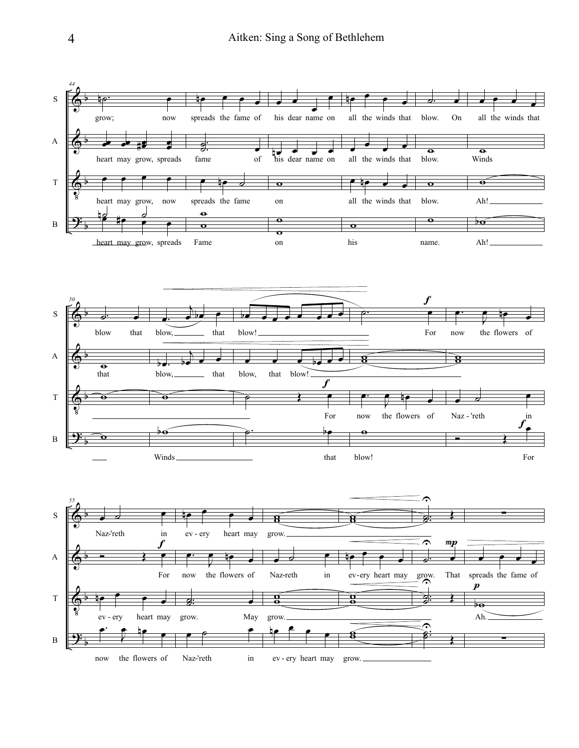